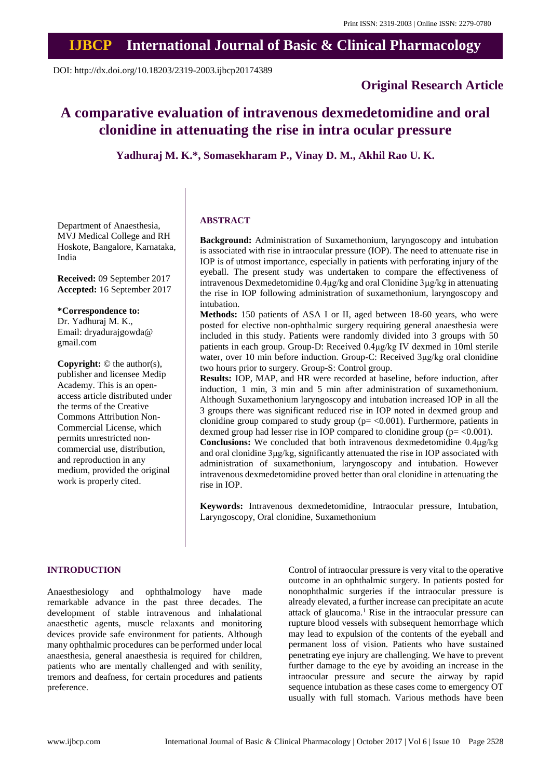# **IJBCP International Journal of Basic & Clinical Pharmacology**

DOI: http://dx.doi.org/10.18203/2319-2003.ijbcp20174389

# **Original Research Article**

# **A comparative evaluation of intravenous dexmedetomidine and oral clonidine in attenuating the rise in intra ocular pressure**

**Yadhuraj M. K.\*, Somasekharam P., Vinay D. M., Akhil Rao U. K.**

Department of Anaesthesia, MVJ Medical College and RH Hoskote, Bangalore, Karnataka, India

**Received:** 09 September 2017 **Accepted:** 16 September 2017

**\*Correspondence to:** Dr. Yadhuraj M. K., Email: dryadurajgowda@ gmail.com

**Copyright:** © the author(s), publisher and licensee Medip Academy. This is an openaccess article distributed under the terms of the Creative Commons Attribution Non-Commercial License, which permits unrestricted noncommercial use, distribution, and reproduction in any medium, provided the original work is properly cited.

#### **ABSTRACT**

**Background:** Administration of Suxamethonium, laryngoscopy and intubation is associated with rise in intraocular pressure (IOP). The need to attenuate rise in IOP is of utmost importance, especially in patients with perforating injury of the eyeball. The present study was undertaken to compare the effectiveness of intravenous Dexmedetomidine 0.4μg/kg and oral Clonidine 3μg/kg in attenuating the rise in IOP following administration of suxamethonium, laryngoscopy and intubation.

**Methods:** 150 patients of ASA I or II, aged between 18-60 years, who were posted for elective non-ophthalmic surgery requiring general anaesthesia were included in this study. Patients were randomly divided into 3 groups with 50 patients in each group. Group-D: Received 0.4μg/kg IV dexmed in 10ml sterile water, over 10 min before induction. Group-C: Received 3μg/kg oral clonidine two hours prior to surgery. Group-S: Control group.

**Results:** IOP, MAP, and HR were recorded at baseline, before induction, after induction, 1 min, 3 min and 5 min after administration of suxamethonium. Although Suxamethonium laryngoscopy and intubation increased IOP in all the 3 groups there was significant reduced rise in IOP noted in dexmed group and clonidine group compared to study group ( $p = < 0.001$ ). Furthermore, patients in dexmed group had lesser rise in IOP compared to clonidine group ( $p = < 0.001$ ). **Conclusions:** We concluded that both intravenous dexmedetomidine 0.4μg/kg and oral clonidine 3μg/kg, significantly attenuated the rise in IOP associated with administration of suxamethonium, laryngoscopy and intubation. However intravenous dexmedetomidine proved better than oral clonidine in attenuating the rise in IOP.

**Keywords:** Intravenous dexmedetomidine, Intraocular pressure, Intubation, Laryngoscopy, Oral clonidine, Suxamethonium

#### **INTRODUCTION**

Anaesthesiology and ophthalmology have made remarkable advance in the past three decades. The development of stable intravenous and inhalational anaesthetic agents, muscle relaxants and monitoring devices provide safe environment for patients. Although many ophthalmic procedures can be performed under local anaesthesia, general anaesthesia is required for children, patients who are mentally challenged and with senility, tremors and deafness, for certain procedures and patients preference.

Control of intraocular pressure is very vital to the operative outcome in an ophthalmic surgery. In patients posted for nonophthalmic surgeries if the intraocular pressure is already elevated, a further increase can precipitate an acute attack of glaucoma. <sup>1</sup> Rise in the intraocular pressure can rupture blood vessels with subsequent hemorrhage which may lead to expulsion of the contents of the eyeball and permanent loss of vision. Patients who have sustained penetrating eye injury are challenging. We have to prevent further damage to the eye by avoiding an increase in the intraocular pressure and secure the airway by rapid sequence intubation as these cases come to emergency OT usually with full stomach. Various methods have been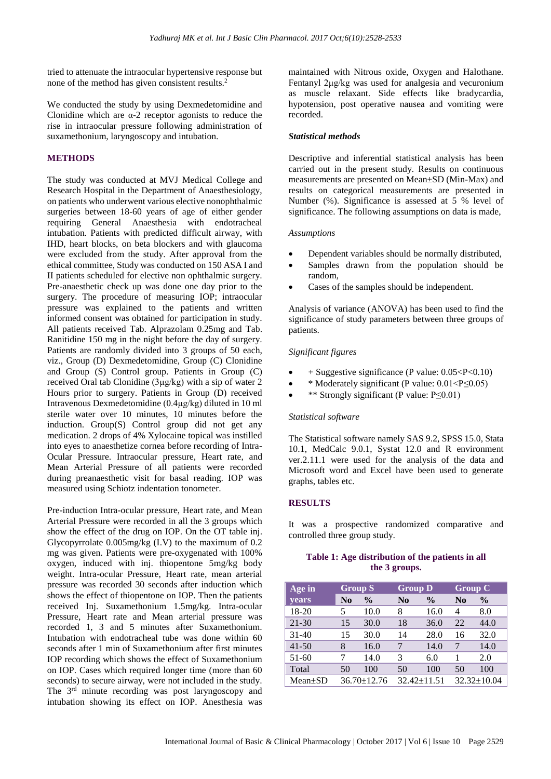tried to attenuate the intraocular hypertensive response but none of the method has given consistent results.<sup>2</sup>

We conducted the study by using Dexmedetomidine and Clonidine which are α-2 receptor agonists to reduce the rise in intraocular pressure following administration of suxamethonium, laryngoscopy and intubation.

# **METHODS**

The study was conducted at MVJ Medical College and Research Hospital in the Department of Anaesthesiology, on patients who underwent various elective nonophthalmic surgeries between 18-60 years of age of either gender requiring General Anaesthesia with endotracheal intubation. Patients with predicted difficult airway, with IHD, heart blocks, on beta blockers and with glaucoma were excluded from the study. After approval from the ethical committee, Study was conducted on 150 ASA I and II patients scheduled for elective non ophthalmic surgery. Pre-anaesthetic check up was done one day prior to the surgery. The procedure of measuring IOP; intraocular pressure was explained to the patients and written informed consent was obtained for participation in study. All patients received Tab. Alprazolam 0.25mg and Tab. Ranitidine 150 mg in the night before the day of surgery. Patients are randomly divided into 3 groups of 50 each, viz., Group (D) Dexmedetomidine, Group (C) Clonidine and Group (S) Control group. Patients in Group (C) received Oral tab Clonidine (3μg/kg) with a sip of water 2 Hours prior to surgery. Patients in Group (D) received Intravenous Dexmedetomidine (0.4μg/kg) diluted in 10 ml sterile water over 10 minutes, 10 minutes before the induction. Group(S) Control group did not get any medication. 2 drops of 4% Xylocaine topical was instilled into eyes to anaesthetize cornea before recording of Intra-Ocular Pressure. Intraocular pressure, Heart rate, and Mean Arterial Pressure of all patients were recorded during preanaesthetic visit for basal reading. IOP was measured using Schiotz indentation tonometer.

Pre-induction Intra-ocular pressure, Heart rate, and Mean Arterial Pressure were recorded in all the 3 groups which show the effect of the drug on IOP. On the OT table inj. Glycopyrrolate  $0.005$ mg/kg (I.V) to the maximum of  $0.2$ mg was given. Patients were pre-oxygenated with 100% oxygen, induced with inj. thiopentone 5mg/kg body weight. Intra-ocular Pressure, Heart rate, mean arterial pressure was recorded 30 seconds after induction which shows the effect of thiopentone on IOP. Then the patients received Inj. Suxamethonium 1.5mg/kg. Intra-ocular Pressure, Heart rate and Mean arterial pressure was recorded 1, 3 and 5 minutes after Suxamethonium. Intubation with endotracheal tube was done within 60 seconds after 1 min of Suxamethonium after first minutes IOP recording which shows the effect of Suxamethonium on IOP. Cases which required longer time (more than 60 seconds) to secure airway, were not included in the study. The 3<sup>rd</sup> minute recording was post laryngoscopy and intubation showing its effect on IOP. Anesthesia was maintained with Nitrous oxide, Oxygen and Halothane. Fentanyl 2μg/kg was used for analgesia and vecuronium as muscle relaxant. Side effects like bradycardia, hypotension, post operative nausea and vomiting were recorded.

#### *Statistical methods*

Descriptive and inferential statistical analysis has been carried out in the present study. Results on continuous measurements are presented on Mean±SD (Min-Max) and results on categorical measurements are presented in Number (%). Significance is assessed at 5 % level of significance. The following assumptions on data is made,

#### *Assumptions*

- Dependent variables should be normally distributed,
- Samples drawn from the population should be random,
- Cases of the samples should be independent.

Analysis of variance (ANOVA) has been used to find the significance of study parameters between three groups of patients.

#### *Significant figures*

- + Suggestive significance (P value: 0.05<P<0.10)
- \* Moderately significant (P value: 0.01<P≤0.05)
- \*\* Strongly significant (P value: P≤0.01)

## *Statistical software*

The Statistical software namely SAS 9.2, SPSS 15.0, Stata 10.1, MedCalc 9.0.1, Systat 12.0 and R environment ver.2.11.1 were used for the analysis of the data and Microsoft word and Excel have been used to generate graphs, tables etc.

## **RESULTS**

It was a prospective randomized comparative and controlled three group study.

## **Table 1: Age distribution of the patients in all the 3 groups.**

| Age in    | <b>Group S</b>    |               | <b>Group D</b> |               | <b>Group C</b>    |               |
|-----------|-------------------|---------------|----------------|---------------|-------------------|---------------|
| years     | N <sub>0</sub>    | $\frac{6}{9}$ | $\bf N_0$      | $\frac{0}{0}$ | $\bf N_0$         | $\frac{0}{0}$ |
| 18-20     | 5                 | 10.0          | 8              | 16.0          | 4                 | 8.0           |
| 21-30     | 15                | 30.0          | 18             | 36.0          | 22                | 44.0          |
| $31 - 40$ | 15                | 30.0          | 14             | 28.0          | 16                | 32.0          |
| $41 - 50$ | 8                 | 16.0          | 7              | 14.0          | 7                 | 14.0          |
| 51-60     | 7                 | 14.0          | 3              | 6.0           |                   | 2.0           |
| Total     | 50                | 100           | 50             | 100           | 50                | 100           |
| $Mean+SD$ | $36.70 \pm 12.76$ |               | 32.42±11.51    |               | $32.32 \pm 10.04$ |               |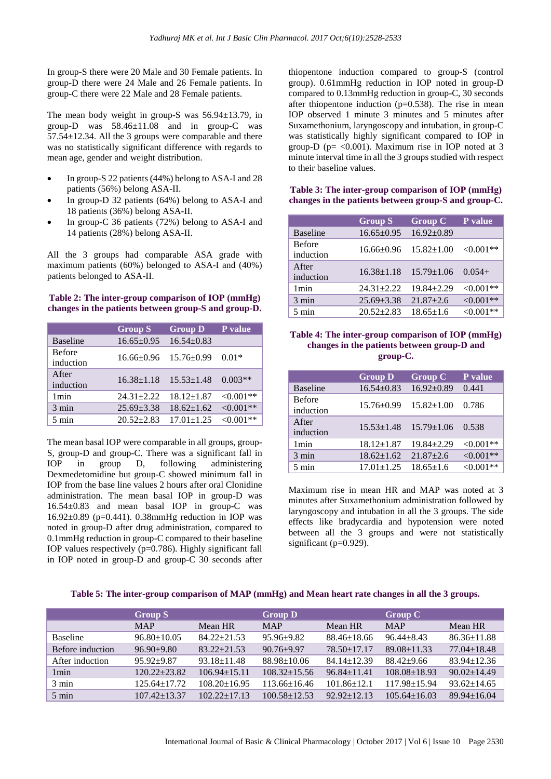In group-S there were 20 Male and 30 Female patients. In group-D there were 24 Male and 26 Female patients. In group-C there were 22 Male and 28 Female patients.

The mean body weight in group-S was 56.94±13.79, in group-D was 58.46±11.08 and in group-C was 57.54±12.34. All the 3 groups were comparable and there was no statistically significant difference with regards to mean age, gender and weight distribution.

- In group-S 22 patients (44%) belong to ASA-I and 28 patients (56%) belong ASA-II.
- In group-D 32 patients  $(64%)$  belong to ASA-I and 18 patients (36%) belong ASA-II.
- In group-C 36 patients (72%) belong to ASA-I and 14 patients (28%) belong ASA-II.

All the 3 groups had comparable ASA grade with maximum patients (60%) belonged to ASA-I and (40%) patients belonged to ASA-II.

#### **Table 2: The inter-group comparison of IOP (mmHg) changes in the patients between group-S and group-D.**

|                            | <b>Group S</b>   | <b>Group D</b>   | P value    |
|----------------------------|------------------|------------------|------------|
| <b>Baseline</b>            | $16.65 \pm 0.95$ | $16.54 \pm 0.83$ |            |
| <b>Before</b><br>induction | $16.66 \pm 0.96$ | $15.76 \pm 0.99$ | $0.01*$    |
| After<br>induction         | $16.38 \pm 1.18$ | $15.53 \pm 1.48$ | $0.003**$  |
| 1 <sub>min</sub>           | $24.31 + 2.22$   | $18.12 \pm 1.87$ | $<0.001**$ |
| $3 \text{ min}$            | $25.69 + 3.38$   | $18.62 \pm 1.62$ | $<0.001**$ |
| $5 \text{ min}$            | $20.52 + 2.83$   | $17.01 \pm 1.25$ | < 0.001    |

The mean basal IOP were comparable in all groups, group-S, group-D and group-C. There was a significant fall in IOP in group D, following administering Dexmedetomidine but group-C showed minimum fall in IOP from the base line values 2 hours after oral Clonidine administration. The mean basal IOP in group-D was 16.54±0.83 and mean basal IOP in group-C was 16.92±0.89 (p=0.441). 0.38mmHg reduction in IOP was noted in group-D after drug administration, compared to 0.1mmHg reduction in group-C compared to their baseline IOP values respectively (p=0.786). Highly significant fall in IOP noted in group-D and group-C 30 seconds after thiopentone induction compared to group-S (control group). 0.61mmHg reduction in IOP noted in group-D compared to 0.13mmHg reduction in group-C, 30 seconds after thiopentone induction  $(p=0.538)$ . The rise in mean IOP observed 1 minute 3 minutes and 5 minutes after Suxamethonium, laryngoscopy and intubation, in group-C was statistically highly significant compared to IOP in group-D ( $p = < 0.001$ ). Maximum rise in IOP noted at 3 minute interval time in all the 3 groups studied with respect to their baseline values.

#### **Table 3: The inter-group comparison of IOP (mmHg) changes in the patients between group-S and group-C.**

|                            | <b>Group S</b>   | <b>Group C</b>   | <b>P</b> value |
|----------------------------|------------------|------------------|----------------|
| <b>Baseline</b>            | $16.65 \pm 0.95$ | $16.92 \pm 0.89$ |                |
| <b>Before</b><br>induction | $16.66 \pm 0.96$ | $15.82 \pm 1.00$ | $<0.001**$     |
| After<br>induction         | $16.38 \pm 1.18$ | $15.79 \pm 1.06$ | $0.054+$       |
| 1 <sub>min</sub>           | $24.31 + 2.22$   | $19.84 + 2.29$   | $<0.001**$     |
| $3 \text{ min}$            | $25.69 \pm 3.38$ | $21.87 + 2.6$    | $<0.001**$     |
| $5 \text{ min}$            | $20.52 + 2.83$   | $18.65 \pm 1.6$  | $<0.001**$     |

#### **Table 4: The inter-group comparison of IOP (mmHg) changes in the patients between group-D and group-C.**

|                            | <b>Group D</b>   | <b>Group C</b>   | P value    |
|----------------------------|------------------|------------------|------------|
| <b>Baseline</b>            | $16.54 \pm 0.83$ | $16.92 \pm 0.89$ | 0.441      |
| <b>Before</b><br>induction | $15.76 \pm 0.99$ | $15.82 \pm 1.00$ | 0.786      |
| After<br>induction         | $15.53 \pm 1.48$ | $15.79 \pm 1.06$ | 0.538      |
| 1 <sub>min</sub>           | $18.12 \pm 1.87$ | $19.84 + 2.29$   | $<0.001**$ |
| $3 \text{ min}$            | $18.62 \pm 1.62$ | $21.87 + 2.6$    | $<0.001**$ |
| $5 \text{ min}$            | $17.01 + 1.25$   | $18.65 \pm 1.6$  | $<0.001**$ |

Maximum rise in mean HR and MAP was noted at 3 minutes after Suxamethonium administration followed by laryngoscopy and intubation in all the 3 groups. The side effects like bradycardia and hypotension were noted between all the 3 groups and were not statistically significant (p=0.929).

# **Table 5: The inter-group comparison of MAP (mmHg) and Mean heart rate changes in all the 3 groups.**

|                  | <b>Group S</b>     |                    | <b>Group D</b>     |                   | <b>Group C</b>     |                   |
|------------------|--------------------|--------------------|--------------------|-------------------|--------------------|-------------------|
|                  | <b>MAP</b>         | Mean HR            | <b>MAP</b>         | Mean HR           | <b>MAP</b>         | Mean HR           |
| <b>Baseline</b>  | $96.80 \pm 10.05$  | $84.22 \pm 21.53$  | $95.96 \pm 9.82$   | $88.46 \pm 18.66$ | $96.44 \pm 8.43$   | $86.36 \pm 11.88$ |
| Before induction | $96.90 + 9.80$     | $83.22 + 21.53$    | $90.76 + 9.97$     | $78.50 \pm 17.17$ | $89.08 \pm 11.33$  | $77.04 + 18.48$   |
| After induction  | $95.92 + 9.87$     | $93.18 \pm 11.48$  | $88.98 \pm 10.06$  | $84.14 \pm 12.39$ | $88.42 + 9.66$     | $83.94 \pm 12.36$ |
| 1 <sub>min</sub> | $120.22 + 23.82$   | $106.94 \pm 15.11$ | $108.32 \pm 15.56$ | $96.84 \pm 11.41$ | $108.08 \pm 18.93$ | $90.02 + 14.49$   |
| $3 \text{ min}$  | $125.64 \pm 17.72$ | $108.20 \pm 16.95$ | $113.66 \pm 16.46$ | $101.86 \pm 12.1$ | $117.98 \pm 15.94$ | $93.62 + 14.65$   |
| $5 \text{ min}$  | $107.42 \pm 13.37$ | $102.22 \pm 17.13$ | $100.58 \pm 12.53$ | $92.92 \pm 12.13$ | $105.64 \pm 16.03$ | $89.94 \pm 16.04$ |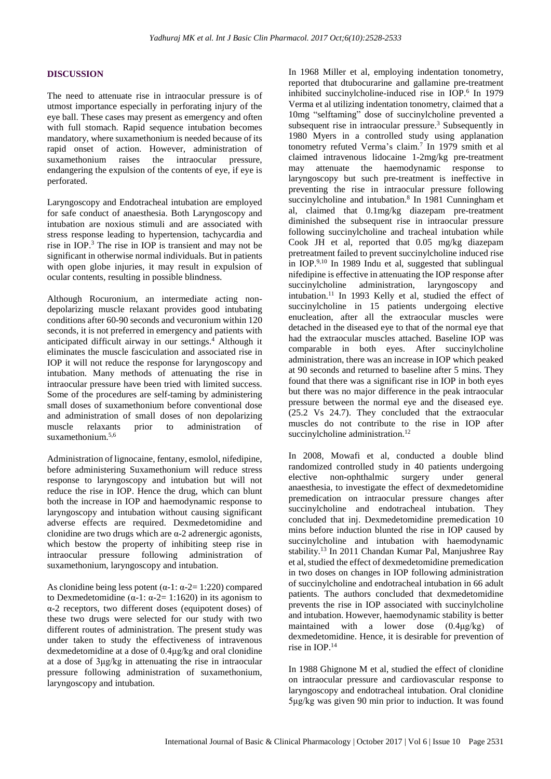## **DISCUSSION**

The need to attenuate rise in intraocular pressure is of utmost importance especially in perforating injury of the eye ball. These cases may present as emergency and often with full stomach. Rapid sequence intubation becomes mandatory, where suxamethonium is needed because of its rapid onset of action. However, administration of suxamethonium raises the intraocular pressure, endangering the expulsion of the contents of eye, if eye is perforated.

Laryngoscopy and Endotracheal intubation are employed for safe conduct of anaesthesia. Both Laryngoscopy and intubation are noxious stimuli and are associated with stress response leading to hypertension, tachycardia and rise in IOP. <sup>3</sup> The rise in IOP is transient and may not be significant in otherwise normal individuals. But in patients with open globe injuries, it may result in expulsion of ocular contents, resulting in possible blindness.

Although Rocuronium, an intermediate acting nondepolarizing muscle relaxant provides good intubating conditions after 60-90 seconds and vecuronium within 120 seconds, it is not preferred in emergency and patients with anticipated difficult airway in our settings. <sup>4</sup> Although it eliminates the muscle fasciculation and associated rise in IOP it will not reduce the response for laryngoscopy and intubation. Many methods of attenuating the rise in intraocular pressure have been tried with limited success. Some of the procedures are self-taming by administering small doses of suxamethonium before conventional dose and administration of small doses of non depolarizing muscle relaxants prior to administration of suxamethonium. 5,6

Administration of lignocaine, fentany, esmolol, nifedipine, before administering Suxamethonium will reduce stress response to laryngoscopy and intubation but will not reduce the rise in IOP. Hence the drug, which can blunt both the increase in IOP and haemodynamic response to laryngoscopy and intubation without causing significant adverse effects are required. Dexmedetomidine and clonidine are two drugs which are  $\alpha$ -2 adrenergic agonists, which bestow the property of inhibiting steep rise in intraocular pressure following administration of suxamethonium, laryngoscopy and intubation.

As clonidine being less potent  $(\alpha-1:\alpha-2=1:220)$  compared to Dexmedetomidine (α-1: α-2= 1:1620) in its agonism to α-2 receptors, two different doses (equipotent doses) of these two drugs were selected for our study with two different routes of administration. The present study was under taken to study the effectiveness of intravenous dexmedetomidine at a dose of 0.4μg/kg and oral clonidine at a dose of 3μg/kg in attenuating the rise in intraocular pressure following administration of suxamethonium, laryngoscopy and intubation.

In 1968 Miller et al, employing indentation tonometry, reported that dtubocurarine and gallamine pre-treatment inhibited succinylcholine-induced rise in IOP.<sup>6</sup> In 1979 Verma et al utilizing indentation tonometry, claimed that a 10mg "selftaming" dose of succinylcholine prevented a subsequent rise in intraocular pressure. <sup>3</sup> Subsequently in 1980 Myers in a controlled study using applanation tonometry refuted Verma's claim.<sup>7</sup> In 1979 smith et al claimed intravenous lidocaine 1-2mg/kg pre-treatment may attenuate the haemodynamic response to laryngoscopy but such pre-treatment is ineffective in preventing the rise in intraocular pressure following succinylcholine and intubation.<sup>8</sup> In 1981 Cunningham et al, claimed that 0.1mg/kg diazepam pre-treatment diminished the subsequent rise in intraocular pressure following succinylcholine and tracheal intubation while Cook JH et al, reported that 0.05 mg/kg diazepam pretreatment failed to prevent succinylcholine induced rise in IOP.9,10 In 1989 Indu et al, suggested that sublingual nifedipine is effective in attenuating the IOP response after succinylcholine administration, laryngoscopy and intubation. <sup>11</sup> In 1993 Kelly et al, studied the effect of succinylcholine in 15 patients undergoing elective enucleation, after all the extraocular muscles were detached in the diseased eye to that of the normal eye that had the extraocular muscles attached. Baseline IOP was comparable in both eyes. After succinylcholine administration, there was an increase in IOP which peaked at 90 seconds and returned to baseline after 5 mins. They found that there was a significant rise in IOP in both eyes but there was no major difference in the peak intraocular pressure between the normal eye and the diseased eye. (25.2 Vs 24.7). They concluded that the extraocular muscles do not contribute to the rise in IOP after succinylcholine administration.<sup>12</sup>

In 2008, Mowafi et al, conducted a double blind randomized controlled study in 40 patients undergoing elective non-ophthalmic surgery under general anaesthesia, to investigate the effect of dexmedetomidine premedication on intraocular pressure changes after succinylcholine and endotracheal intubation. They concluded that inj. Dexmedetomidine premedication 10 mins before induction blunted the rise in IOP caused by succinylcholine and intubation with haemodynamic stability. <sup>13</sup> In 2011 Chandan Kumar Pal, Manjushree Ray et al, studied the effect of dexmedetomidine premedication in two doses on changes in IOP following administration of succinylcholine and endotracheal intubation in 66 adult patients. The authors concluded that dexmedetomidine prevents the rise in IOP associated with succinylcholine and intubation. However, haemodynamic stability is better maintained with a lower dose (0.4μg/kg) of dexmedetomidine. Hence, it is desirable for prevention of rise in IOP. 14

In 1988 Ghignone M et al, studied the effect of clonidine on intraocular pressure and cardiovascular response to laryngoscopy and endotracheal intubation. Oral clonidine 5μg/kg was given 90 min prior to induction. It was found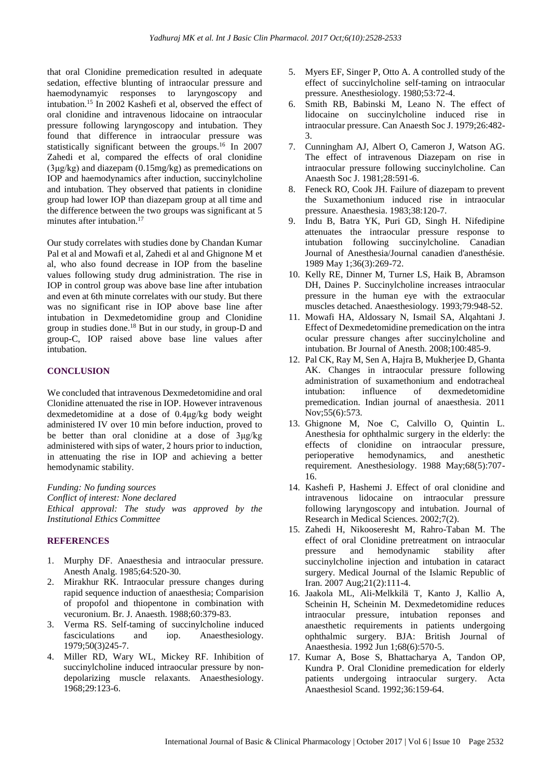that oral Clonidine premedication resulted in adequate sedation, effective blunting of intraocular pressure and haemodynamyic responses to laryngoscopy and intubation. <sup>15</sup> In 2002 Kashefi et al, observed the effect of oral clonidine and intravenous lidocaine on intraocular pressure following laryngoscopy and intubation. They found that difference in intraocular pressure was statistically significant between the groups. <sup>16</sup> In 2007 Zahedi et al, compared the effects of oral clonidine (3μg/kg) and diazepam (0.15mg/kg) as premedications on IOP and haemodynamics after induction, succinylcholine and intubation. They observed that patients in clonidine group had lower IOP than diazepam group at all time and the difference between the two groups was significant at 5 minutes after intubation. 17

Our study correlates with studies done by Chandan Kumar Pal et al and Mowafi et al, Zahedi et al and Ghignone M et al, who also found decrease in IOP from the baseline values following study drug administration. The rise in IOP in control group was above base line after intubation and even at 6th minute correlates with our study. But there was no significant rise in IOP above base line after intubation in Dexmedetomidine group and Clonidine group in studies done.<sup>18</sup> But in our study, in group-D and group-C, IOP raised above base line values after intubation.

# **CONCLUSION**

We concluded that intravenous Dexmedetomidine and oral Clonidine attenuated the rise in IOP. However intravenous dexmedetomidine at a dose of 0.4μg/kg body weight administered IV over 10 min before induction, proved to be better than oral clonidine at a dose of 3μg/kg administered with sips of water, 2 hours prior to induction, in attenuating the rise in IOP and achieving a better hemodynamic stability.

*Funding: No funding sources Conflict of interest: None declared Ethical approval: The study was approved by the Institutional Ethics Committee*

# **REFERENCES**

- 1. Murphy DF. Anaesthesia and intraocular pressure. Anesth Analg. 1985;64:520-30.
- 2. Mirakhur RK. Intraocular pressure changes during rapid sequence induction of anaesthesia; Comparision of propofol and thiopentone in combination with vecuronium. Br. J. Anaesth. 1988;60:379-83.
- 3. Verma RS. Self-taming of succinylcholine induced fasciculations and iop. Anaesthesiology. 1979;50(3)245-7.
- 4. Miller RD, Wary WL, Mickey RF. Inhibition of succinylcholine induced intraocular pressure by nondepolarizing muscle relaxants. Anaesthesiology. 1968;29:123-6.
- 5. Myers EF, Singer P, Otto A. A controlled study of the effect of succinylcholine self-taming on intraocular pressure. Anesthesiology. 1980;53:72-4.
- 6. Smith RB, Babinski M, Leano N. The effect of lidocaine on succinylcholine induced rise in intraocular pressure. Can Anaesth Soc J. 1979;26:482- 3.
- 7. Cunningham AJ, Albert O, Cameron J, Watson AG. The effect of intravenous Diazepam on rise in intraocular pressure following succinylcholine. Can Anaesth Soc J. 1981;28:591-6.
- 8. Feneck RO, Cook JH. Failure of diazepam to prevent the Suxamethonium induced rise in intraocular pressure. Anaesthesia. 1983;38:120-7.
- 9. Indu B, Batra YK, Puri GD, Singh H. Nifedipine attenuates the intraocular pressure response to intubation following succinylcholine. Canadian Journal of Anesthesia/Journal canadien d'anesthésie. 1989 May 1;36(3):269-72.
- 10. Kelly RE, Dinner M, Turner LS, Haik B, Abramson DH, Daines P. Succinylcholine increases intraocular pressure in the human eye with the extraocular muscles detached. Anaesthesiology. 1993;79:948-52.
- 11. Mowafi HA, Aldossary N, Ismail SA, Alqahtani J. Effect of Dexmedetomidine premedication on the intra ocular pressure changes after succinylcholine and intubation. Br Journal of Anesth. 2008;100:485-9.
- 12. Pal CK, Ray M, Sen A, Hajra B, Mukherjee D, Ghanta AK. Changes in intraocular pressure following administration of suxamethonium and endotracheal intubation: influence of dexmedetomidine premedication. Indian journal of anaesthesia. 2011 Nov;55(6):573.
- 13. Ghignone M, Noe C, Calvillo O, Quintin L. Anesthesia for ophthalmic surgery in the elderly: the effects of clonidine on intraocular pressure, perioperative hemodynamics, and anesthetic requirement. Anesthesiology. 1988 May;68(5):707- 16.
- 14. Kashefi P, Hashemi J. Effect of oral clonidine and intravenous lidocaine on intraocular pressure following laryngoscopy and intubation. Journal of Research in Medical Sciences. 2002;7(2).
- 15. Zahedi H, Nikooseresht M, Rahro-Taban M. The effect of oral Clonidine pretreatment on intraocular pressure and hemodynamic stability after succinylcholine injection and intubation in cataract surgery. Medical Journal of the Islamic Republic of Iran. 2007 Aug;21(2):111-4.
- 16. Jaakola ML, Ali-Melkkilä T, Kanto J, Kallio A, Scheinin H, Scheinin M. Dexmedetomidine reduces intraocular pressure, intubation reponses and anaesthetic requirements in patients undergoing ophthalmic surgery. BJA: British Journal of Anaesthesia. 1992 Jun 1;68(6):570-5.
- 17. Kumar A, Bose S, Bhattacharya A, Tandon OP, Kundra P. Oral Clonidine premedication for elderly patients undergoing intraocular surgery. Acta Anaesthesiol Scand. 1992;36:159-64.